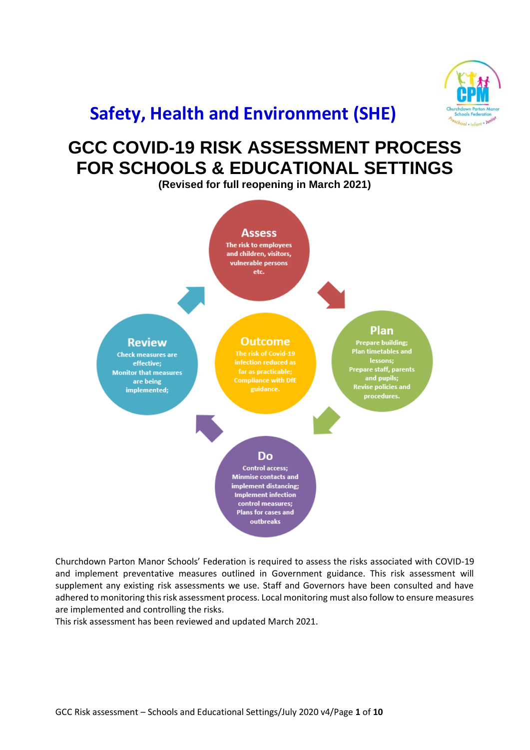

## **Safety, Health and Environment (SHE)**

## **GCC COVID-19 RISK ASSESSMENT PROCESS FOR SCHOOLS & EDUCATIONAL SETTINGS**

**(Revised for full reopening in March 2021)**



Churchdown Parton Manor Schools' Federation is required to assess the risks associated with COVID-19 and implement preventative measures outlined in Government guidance. This risk assessment will supplement any existing risk assessments we use. Staff and Governors have been consulted and have adhered to monitoring this risk assessment process. Local monitoring must also follow to ensure measures are implemented and controlling the risks.

This risk assessment has been reviewed and updated March 2021.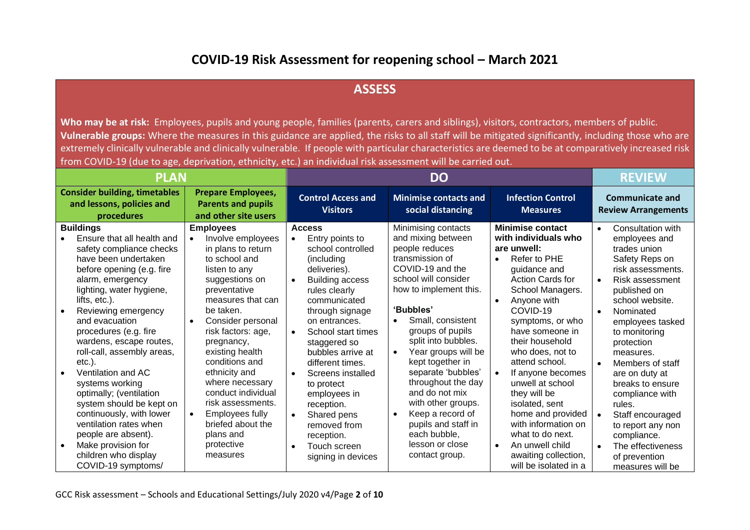## **COVID-19 Risk Assessment for reopening school – March 2021**

## **ASSESS**

Who may be at risk: Employees, pupils and young people, families (parents, carers and siblings), visitors, contractors, members of public. **Vulnerable groups:** Where the measures in this guidance are applied, the risks to all staff will be mitigated significantly, including those who are extremely clinically vulnerable and clinically vulnerable. If people with particular characteristics are deemed to be at comparatively increased risk from COVID-19 (due to age, deprivation, ethnicity, etc.) an individual risk assessment will be carried out.

| <b>PLAN</b>                                                                     |                                                                                                                                                                                                                                                                                                                                                                                                                                                                                                |                                                                                                                                                                                                                                                                                                                                                                                                                  |                        | <b>DO</b>                                                                                                                                                                                                                                                                                                                                         |                        |                                                                                                                                                                                                                                                                                                                                                                                      |                                             |                                                                                                                                                                                                                                                                                                                                                                                                 |                                                      | <b>REVIEW</b>                                                                                                                                                                                                                                                                                                                           |
|---------------------------------------------------------------------------------|------------------------------------------------------------------------------------------------------------------------------------------------------------------------------------------------------------------------------------------------------------------------------------------------------------------------------------------------------------------------------------------------------------------------------------------------------------------------------------------------|------------------------------------------------------------------------------------------------------------------------------------------------------------------------------------------------------------------------------------------------------------------------------------------------------------------------------------------------------------------------------------------------------------------|------------------------|---------------------------------------------------------------------------------------------------------------------------------------------------------------------------------------------------------------------------------------------------------------------------------------------------------------------------------------------------|------------------------|--------------------------------------------------------------------------------------------------------------------------------------------------------------------------------------------------------------------------------------------------------------------------------------------------------------------------------------------------------------------------------------|---------------------------------------------|-------------------------------------------------------------------------------------------------------------------------------------------------------------------------------------------------------------------------------------------------------------------------------------------------------------------------------------------------------------------------------------------------|------------------------------------------------------|-----------------------------------------------------------------------------------------------------------------------------------------------------------------------------------------------------------------------------------------------------------------------------------------------------------------------------------------|
| <b>Consider building, timetables</b><br>and lessons, policies and<br>procedures |                                                                                                                                                                                                                                                                                                                                                                                                                                                                                                | <b>Prepare Employees,</b><br><b>Parents and pupils</b><br>and other site users                                                                                                                                                                                                                                                                                                                                   |                        | <b>Control Access and</b><br><b>Minimise contacts and</b><br><b>Visitors</b><br>social distancing                                                                                                                                                                                                                                                 |                        |                                                                                                                                                                                                                                                                                                                                                                                      | <b>Infection Control</b><br><b>Measures</b> |                                                                                                                                                                                                                                                                                                                                                                                                 | <b>Communicate and</b><br><b>Review Arrangements</b> |                                                                                                                                                                                                                                                                                                                                         |
|                                                                                 | <b>Buildings</b><br>Ensure that all health and<br>safety compliance checks<br>have been undertaken<br>before opening (e.g. fire<br>alarm, emergency<br>lighting, water hygiene,<br>lifts, etc.).<br>Reviewing emergency<br>and evacuation<br>procedures (e.g. fire<br>wardens, escape routes,<br>roll-call, assembly areas,<br>$etc.$ ).<br>Ventilation and AC<br>systems working<br>optimally; (ventilation<br>system should be kept on<br>continuously, with lower<br>ventilation rates when | <b>Employees</b><br>Involve employees<br>in plans to return<br>to school and<br>listen to any<br>suggestions on<br>preventative<br>measures that can<br>be taken.<br>Consider personal<br>$\bullet$<br>risk factors: age,<br>pregnancy,<br>existing health<br>conditions and<br>ethnicity and<br>where necessary<br>conduct individual<br>risk assessments.<br>Employees fully<br>$\bullet$<br>briefed about the | $\bullet$<br>$\bullet$ | <b>Access</b><br>Entry points to<br>school controlled<br>(including<br>deliveries).<br><b>Building access</b><br>rules clearly<br>communicated<br>through signage<br>on entrances.<br>School start times<br>staggered so<br>bubbles arrive at<br>different times.<br>Screens installed<br>to protect<br>employees in<br>reception.<br>Shared pens | $\bullet$<br>$\bullet$ | Minimising contacts<br>and mixing between<br>people reduces<br>transmission of<br>COVID-19 and the<br>school will consider<br>how to implement this.<br>'Bubbles'<br>Small, consistent<br>groups of pupils<br>split into bubbles.<br>Year groups will be<br>kept together in<br>separate 'bubbles'<br>throughout the day<br>and do not mix<br>with other groups.<br>Keep a record of | $\bullet$<br>$\bullet$                      | <b>Minimise contact</b><br>with individuals who<br>are unwell:<br>Refer to PHE<br>quidance and<br><b>Action Cards for</b><br>School Managers.<br>Anyone with<br>COVID-19<br>symptoms, or who<br>have someone in<br>their household<br>who does, not to<br>attend school.<br>If anyone becomes<br>unwell at school<br>they will be<br>isolated, sent<br>home and provided<br>with information on | $\bullet$<br>$\bullet$<br>$\bullet$                  | Consultation with<br>employees and<br>trades union<br>Safety Reps on<br>risk assessments.<br>Risk assessment<br>published on<br>school website.<br>Nominated<br>employees tasked<br>to monitoring<br>protection<br>measures.<br>Members of staff<br>are on duty at<br>breaks to ensure<br>compliance with<br>rules.<br>Staff encouraged |
| $\bullet$                                                                       | people are absent).<br>Make provision for<br>children who display<br>COVID-19 symptoms/                                                                                                                                                                                                                                                                                                                                                                                                        | plans and<br>protective<br>measures                                                                                                                                                                                                                                                                                                                                                                              |                        | removed from<br>reception.<br>Touch screen<br>signing in devices                                                                                                                                                                                                                                                                                  |                        | pupils and staff in<br>each bubble,<br>lesson or close<br>contact group.                                                                                                                                                                                                                                                                                                             |                                             | what to do next.<br>An unwell child<br>awaiting collection,<br>will be isolated in a                                                                                                                                                                                                                                                                                                            | $\bullet$                                            | to report any non<br>compliance.<br>The effectiveness<br>of prevention<br>measures will be                                                                                                                                                                                                                                              |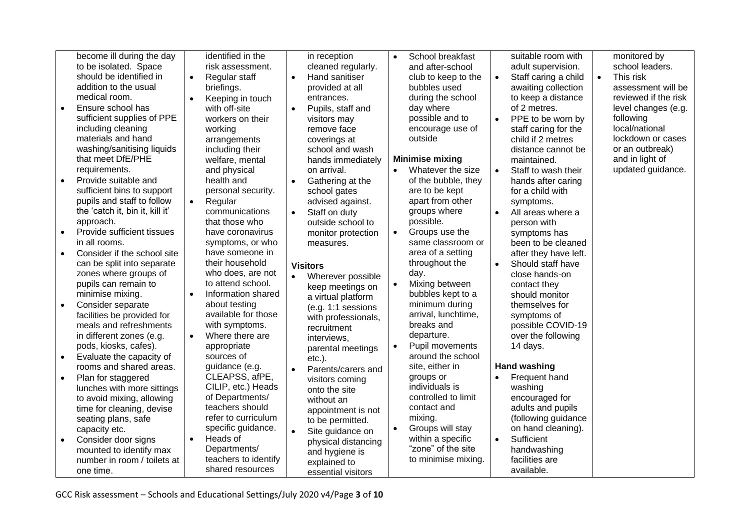| identified in the<br>become ill during the day<br>School breakfast<br>suitable room with<br>in reception<br>$\bullet$<br>to be isolated. Space<br>risk assessment.<br>cleaned regularly.<br>and after-school<br>adult supervision.<br>should be identified in<br>Hand sanitiser<br>Staff caring a child<br>Regular staff<br>club to keep to the<br>$\bullet$<br>$\bullet$<br>$\bullet$<br>$\bullet$<br>addition to the usual<br>awaiting collection<br>briefings.<br>provided at all<br>bubbles used<br>medical room.<br>during the school<br>to keep a distance<br>entrances.<br>Keeping in touch<br>$\bullet$<br>of 2 metres.<br>Ensure school has<br>day where<br>with off-site<br>$\bullet$<br>Pupils, staff and<br>sufficient supplies of PPE<br>possible and to<br>PPE to be worn by<br>workers on their<br>visitors may<br>$\bullet$<br>including cleaning<br>encourage use of<br>staff caring for the<br>working<br>remove face<br>materials and hand<br>outside<br>child if 2 metres<br>coverings at<br>arrangements<br>washing/sanitising liquids<br>including their<br>distance cannot be<br>school and wash<br>that meet DfE/PHE<br><b>Minimise mixing</b><br>welfare, mental<br>hands immediately<br>maintained.<br>requirements.<br>Whatever the size<br>and physical<br>on arrival.<br>Staff to wash their<br>$\bullet$<br>Provide suitable and<br>health and<br>of the bubble, they<br>$\bullet$<br>Gathering at the<br>hands after caring<br>$\bullet$<br>sufficient bins to support<br>personal security.<br>are to be kept<br>school gates<br>for a child with<br>pupils and staff to follow<br>apart from other<br>Regular<br>advised against.<br>$\bullet$<br>symptoms.<br>the 'catch it, bin it, kill it'<br>groups where<br>communications<br>Staff on duty<br>All areas where a<br>$\bullet$<br>$\bullet$<br>possible.<br>approach.<br>that those who<br>outside school to<br>person with<br>Provide sufficient tissues<br>Groups use the<br>have coronavirus<br>monitor protection<br>$\bullet$<br>symptoms has<br>in all rooms.<br>same classroom or<br>symptoms, or who<br>been to be cleaned<br>measures.<br>have someone in<br>area of a setting<br>Consider if the school site<br>after they have left.<br>their household<br>throughout the<br>can be split into separate<br>Should staff have<br>$\bullet$<br><b>Visitors</b><br>who does, are not<br>zones where groups of<br>day.<br>close hands-on<br>Wherever possible<br>pupils can remain to<br>to attend school.<br>Mixing between<br>$\bullet$<br>contact they<br>keep meetings on<br>minimise mixing.<br>Information shared<br>bubbles kept to a<br>$\bullet$<br>should monitor<br>a virtual platform<br>about testing<br>minimum during<br>Consider separate<br>themselves for<br>(e.g. 1:1 sessions<br>available for those<br>arrival, lunchtime,<br>facilities be provided for<br>symptoms of<br>with professionals,<br>breaks and<br>meals and refreshments<br>with symptoms.<br>possible COVID-19<br>recruitment<br>Where there are<br>departure.<br>in different zones (e.g.<br>over the following<br>$\bullet$<br>interviews,<br>Pupil movements<br>pods, kiosks, cafes).<br>14 days.<br>appropriate<br>parental meetings<br>around the school<br>Evaluate the capacity of<br>sources of<br>$etc.$ ).<br><b>Hand washing</b><br>guidance (e.g.<br>site, either in<br>rooms and shared areas.<br>Parents/carers and<br>$\bullet$<br>CLEAPSS, afPE,<br>Frequent hand<br>groups or<br>Plan for staggered<br>$\bullet$<br>visitors coming<br>CILIP, etc.) Heads<br>individuals is<br>washing<br>lunches with more sittings<br>onto the site |                                                                                                                                                  |  |
|-----------------------------------------------------------------------------------------------------------------------------------------------------------------------------------------------------------------------------------------------------------------------------------------------------------------------------------------------------------------------------------------------------------------------------------------------------------------------------------------------------------------------------------------------------------------------------------------------------------------------------------------------------------------------------------------------------------------------------------------------------------------------------------------------------------------------------------------------------------------------------------------------------------------------------------------------------------------------------------------------------------------------------------------------------------------------------------------------------------------------------------------------------------------------------------------------------------------------------------------------------------------------------------------------------------------------------------------------------------------------------------------------------------------------------------------------------------------------------------------------------------------------------------------------------------------------------------------------------------------------------------------------------------------------------------------------------------------------------------------------------------------------------------------------------------------------------------------------------------------------------------------------------------------------------------------------------------------------------------------------------------------------------------------------------------------------------------------------------------------------------------------------------------------------------------------------------------------------------------------------------------------------------------------------------------------------------------------------------------------------------------------------------------------------------------------------------------------------------------------------------------------------------------------------------------------------------------------------------------------------------------------------------------------------------------------------------------------------------------------------------------------------------------------------------------------------------------------------------------------------------------------------------------------------------------------------------------------------------------------------------------------------------------------------------------------------------------------------------------------------------------------------------------------------------------------------------------------------------------------------------------------------------------------------------------------------------------------------------------------------------------------------------------------------------------------------------------------------------------------------------------------------------------------------------------------------------------------------------------------------------------------|--------------------------------------------------------------------------------------------------------------------------------------------------|--|
|                                                                                                                                                                                                                                                                                                                                                                                                                                                                                                                                                                                                                                                                                                                                                                                                                                                                                                                                                                                                                                                                                                                                                                                                                                                                                                                                                                                                                                                                                                                                                                                                                                                                                                                                                                                                                                                                                                                                                                                                                                                                                                                                                                                                                                                                                                                                                                                                                                                                                                                                                                                                                                                                                                                                                                                                                                                                                                                                                                                                                                                                                                                                                                                                                                                                                                                                                                                                                                                                                                                                                                                                                                         | monitored by<br>school leaders.<br>This risk<br>assessment will be<br>reviewed if the risk<br>level changes (e.g.<br>following<br>local/national |  |
|                                                                                                                                                                                                                                                                                                                                                                                                                                                                                                                                                                                                                                                                                                                                                                                                                                                                                                                                                                                                                                                                                                                                                                                                                                                                                                                                                                                                                                                                                                                                                                                                                                                                                                                                                                                                                                                                                                                                                                                                                                                                                                                                                                                                                                                                                                                                                                                                                                                                                                                                                                                                                                                                                                                                                                                                                                                                                                                                                                                                                                                                                                                                                                                                                                                                                                                                                                                                                                                                                                                                                                                                                                         | lockdown or cases<br>or an outbreak)<br>and in light of<br>updated guidance.                                                                     |  |
|                                                                                                                                                                                                                                                                                                                                                                                                                                                                                                                                                                                                                                                                                                                                                                                                                                                                                                                                                                                                                                                                                                                                                                                                                                                                                                                                                                                                                                                                                                                                                                                                                                                                                                                                                                                                                                                                                                                                                                                                                                                                                                                                                                                                                                                                                                                                                                                                                                                                                                                                                                                                                                                                                                                                                                                                                                                                                                                                                                                                                                                                                                                                                                                                                                                                                                                                                                                                                                                                                                                                                                                                                                         |                                                                                                                                                  |  |
|                                                                                                                                                                                                                                                                                                                                                                                                                                                                                                                                                                                                                                                                                                                                                                                                                                                                                                                                                                                                                                                                                                                                                                                                                                                                                                                                                                                                                                                                                                                                                                                                                                                                                                                                                                                                                                                                                                                                                                                                                                                                                                                                                                                                                                                                                                                                                                                                                                                                                                                                                                                                                                                                                                                                                                                                                                                                                                                                                                                                                                                                                                                                                                                                                                                                                                                                                                                                                                                                                                                                                                                                                                         |                                                                                                                                                  |  |
| of Departments/<br>controlled to limit<br>to avoid mixing, allowing<br>encouraged for<br>without an<br>teachers should<br>contact and<br>adults and pupils<br>time for cleaning, devise<br>appointment is not<br>refer to curriculum<br>mixing.<br>(following guidance<br>seating plans, safe<br>to be permitted.<br>specific guidance.<br>Groups will stay<br>on hand cleaning).<br>capacity etc.<br>$\bullet$<br>Site guidance on<br>Heads of<br>within a specific<br>$\bullet$<br>Sufficient<br>$\bullet$<br>Consider door signs<br>$\bullet$<br>physical distancing<br>"zone" of the site<br>Departments/<br>handwashing<br>mounted to identify max<br>and hygiene is<br>teachers to identify<br>to minimise mixing.<br>facilities are<br>number in room / toilets at<br>explained to<br>shared resources<br>available.                                                                                                                                                                                                                                                                                                                                                                                                                                                                                                                                                                                                                                                                                                                                                                                                                                                                                                                                                                                                                                                                                                                                                                                                                                                                                                                                                                                                                                                                                                                                                                                                                                                                                                                                                                                                                                                                                                                                                                                                                                                                                                                                                                                                                                                                                                                                                                                                                                                                                                                                                                                                                                                                                                                                                                                                             |                                                                                                                                                  |  |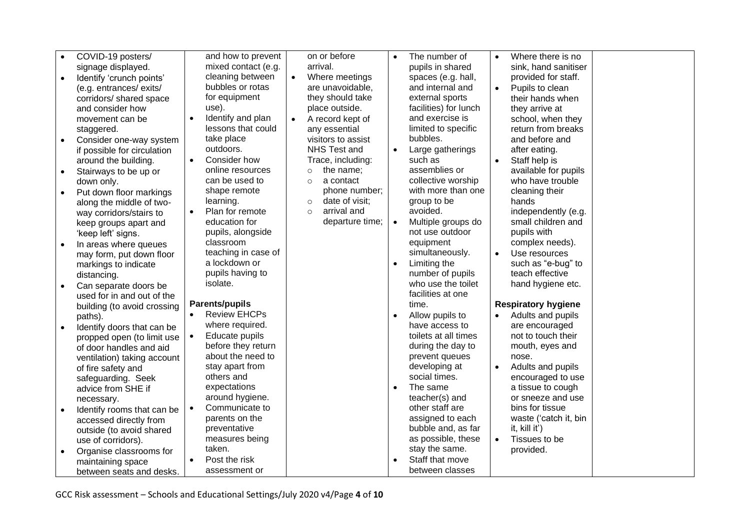| $\bullet$ | COVID-19 posters/           |           | and how to prevent    |           | on or before              |           | The number of         |           | Where there is no          |  |
|-----------|-----------------------------|-----------|-----------------------|-----------|---------------------------|-----------|-----------------------|-----------|----------------------------|--|
|           | signage displayed.          |           | mixed contact (e.g.   |           | arrival.                  |           | pupils in shared      |           | sink, hand sanitiser       |  |
| $\bullet$ | Identify 'crunch points'    |           | cleaning between      | $\bullet$ | Where meetings            |           | spaces (e.g. hall,    |           | provided for staff.        |  |
|           | (e.g. entrances/exits/      |           | bubbles or rotas      |           | are unavoidable,          |           | and internal and      | $\bullet$ | Pupils to clean            |  |
|           | corridors/ shared space     |           | for equipment         |           | they should take          |           | external sports       |           | their hands when           |  |
|           | and consider how            |           | use).                 |           | place outside.            |           | facilities) for lunch |           | they arrive at             |  |
|           | movement can be             |           | Identify and plan     |           | A record kept of          |           | and exercise is       |           | school, when they          |  |
|           | staggered.                  |           | lessons that could    |           | any essential             |           | limited to specific   |           | return from breaks         |  |
| $\bullet$ | Consider one-way system     |           | take place            |           | visitors to assist        |           | bubbles.              |           | and before and             |  |
|           | if possible for circulation |           | outdoors.             |           | NHS Test and              | $\bullet$ | Large gatherings      |           | after eating.              |  |
|           | around the building.        | $\bullet$ | Consider how          |           | Trace, including:         |           | such as               |           | Staff help is              |  |
| $\bullet$ | Stairways to be up or       |           | online resources      |           | the name;<br>$\circ$      |           | assemblies or         |           | available for pupils       |  |
|           | down only.                  |           | can be used to        |           | a contact<br>$\circ$      |           | collective worship    |           | who have trouble           |  |
| $\bullet$ | Put down floor markings     |           | shape remote          |           | phone number;             |           | with more than one    |           | cleaning their             |  |
|           | along the middle of two-    |           | learning.             |           | date of visit;<br>$\circ$ |           | group to be           |           | hands                      |  |
|           | way corridors/stairs to     | $\bullet$ | Plan for remote       |           | arrival and<br>$\circ$    |           | avoided.              |           | independently (e.g.        |  |
|           | keep groups apart and       |           | education for         |           | departure time;           |           | Multiple groups do    |           | small children and         |  |
|           | 'keep left' signs.          |           | pupils, alongside     |           |                           |           | not use outdoor       |           | pupils with                |  |
|           | In areas where queues       |           | classroom             |           |                           |           | equipment             |           | complex needs).            |  |
|           | may form, put down floor    |           | teaching in case of   |           |                           |           | simultaneously.       |           | Use resources              |  |
|           | markings to indicate        |           | a lockdown or         |           |                           | $\bullet$ | Limiting the          |           | such as "e-bug" to         |  |
|           | distancing.                 |           | pupils having to      |           |                           |           | number of pupils      |           | teach effective            |  |
| $\bullet$ | Can separate doors be       |           | isolate.              |           |                           |           | who use the toilet    |           | hand hygiene etc.          |  |
|           | used for in and out of the  |           |                       |           |                           |           | facilities at one     |           |                            |  |
|           | building (to avoid crossing |           | <b>Parents/pupils</b> |           |                           |           | time.                 |           | <b>Respiratory hygiene</b> |  |
|           | paths).                     | $\bullet$ | <b>Review EHCPs</b>   |           |                           | $\bullet$ | Allow pupils to       | $\bullet$ | Adults and pupils          |  |
| $\bullet$ | Identify doors that can be  |           | where required.       |           |                           |           | have access to        |           | are encouraged             |  |
|           | propped open (to limit use  | $\bullet$ | Educate pupils        |           |                           |           | toilets at all times  |           | not to touch their         |  |
|           | of door handles and aid     |           | before they return    |           |                           |           | during the day to     |           | mouth, eyes and            |  |
|           | ventilation) taking account |           | about the need to     |           |                           |           | prevent queues        |           | nose.                      |  |
|           | of fire safety and          |           | stay apart from       |           |                           |           | developing at         | $\bullet$ | Adults and pupils          |  |
|           | safeguarding. Seek          |           | others and            |           |                           |           | social times.         |           | encouraged to use          |  |
|           | advice from SHE if          |           | expectations          |           |                           |           | The same              |           | a tissue to cough          |  |
|           | necessary.                  |           | around hygiene.       |           |                           |           | teacher(s) and        |           | or sneeze and use          |  |
| $\bullet$ | Identify rooms that can be  | $\bullet$ | Communicate to        |           |                           |           | other staff are       |           | bins for tissue            |  |
|           | accessed directly from      |           | parents on the        |           |                           |           | assigned to each      |           | waste ('catch it, bin      |  |
|           | outside (to avoid shared    |           | preventative          |           |                           |           | bubble and, as far    |           | it, kill it')              |  |
|           | use of corridors).          |           | measures being        |           |                           |           | as possible, these    | $\bullet$ | Tissues to be              |  |
| $\bullet$ | Organise classrooms for     |           | taken.                |           |                           |           | stay the same.        |           | provided.                  |  |
|           | maintaining space           | $\bullet$ | Post the risk         |           |                           |           | Staff that move       |           |                            |  |
|           | between seats and desks.    |           | assessment or         |           |                           |           | between classes       |           |                            |  |

GCC Risk assessment – Schools and Educational Settings/July 2020 v4/Page **4** of **10**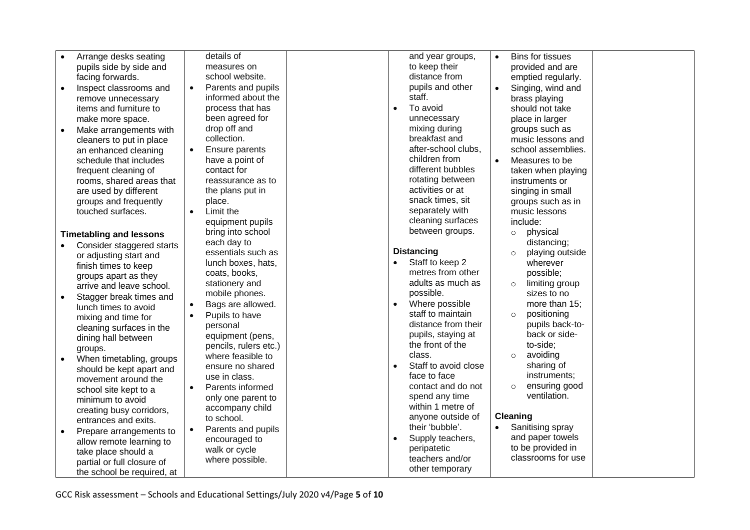| $\bullet$ | Arrange desks seating          |           | details of            |           | and year groups,     | $\bullet$ | <b>Bins for tissues</b>                 |  |
|-----------|--------------------------------|-----------|-----------------------|-----------|----------------------|-----------|-----------------------------------------|--|
|           | pupils side by side and        |           | measures on           |           | to keep their        |           | provided and are                        |  |
|           | facing forwards.               |           | school website.       |           | distance from        |           | emptied regularly.                      |  |
| $\bullet$ | Inspect classrooms and         | $\bullet$ | Parents and pupils    |           | pupils and other     | $\bullet$ | Singing, wind and                       |  |
|           | remove unnecessary             |           | informed about the    |           | staff.               |           | brass playing                           |  |
|           | items and furniture to         |           | process that has      |           | To avoid             |           | should not take                         |  |
|           | make more space.               |           | been agreed for       |           | unnecessary          |           | place in larger                         |  |
| $\bullet$ | Make arrangements with         |           | drop off and          |           | mixing during        |           | groups such as                          |  |
|           | cleaners to put in place       |           | collection.           |           | breakfast and        |           | music lessons and                       |  |
|           | an enhanced cleaning           | $\bullet$ | Ensure parents        |           | after-school clubs,  |           | school assemblies.                      |  |
|           | schedule that includes         |           | have a point of       |           | children from        | $\bullet$ | Measures to be                          |  |
|           | frequent cleaning of           |           | contact for           |           | different bubbles    |           | taken when playing                      |  |
|           | rooms, shared areas that       |           | reassurance as to     |           | rotating between     |           | instruments or                          |  |
|           | are used by different          |           | the plans put in      |           | activities or at     |           | singing in small                        |  |
|           | groups and frequently          |           | place.                |           | snack times, sit     |           | groups such as in                       |  |
|           | touched surfaces.              | $\bullet$ | Limit the             |           | separately with      |           | music lessons                           |  |
|           |                                |           | equipment pupils      |           | cleaning surfaces    |           | include:                                |  |
|           | <b>Timetabling and lessons</b> |           | bring into school     |           | between groups.      |           | physical<br>$\circ$                     |  |
|           | Consider staggered starts      |           | each day to           |           |                      |           | distancing;                             |  |
|           | or adjusting start and         |           | essentials such as    |           | <b>Distancing</b>    |           | playing outside                         |  |
|           | finish times to keep           |           | lunch boxes, hats,    |           | Staff to keep 2      |           | wherever                                |  |
|           | groups apart as they           |           | coats, books,         |           | metres from other    |           | possible;                               |  |
|           | arrive and leave school.       |           | stationery and        |           | adults as much as    |           | limiting group<br>$\Omega$              |  |
| $\bullet$ | Stagger break times and        |           | mobile phones.        |           | possible.            |           | sizes to no                             |  |
|           | lunch times to avoid           | $\bullet$ | Bags are allowed.     | $\bullet$ | Where possible       |           | more than 15;                           |  |
|           | mixing and time for            | $\bullet$ | Pupils to have        |           | staff to maintain    |           | positioning<br>$\circ$                  |  |
|           | cleaning surfaces in the       |           | personal              |           | distance from their  |           | pupils back-to-                         |  |
|           | dining hall between            |           | equipment (pens,      |           | pupils, staying at   |           | back or side-                           |  |
|           | groups.                        |           | pencils, rulers etc.) |           | the front of the     |           | to-side;                                |  |
| $\bullet$ | When timetabling, groups       |           | where feasible to     |           | class.               |           | avoiding<br>$\circ$                     |  |
|           | should be kept apart and       |           | ensure no shared      | $\bullet$ | Staff to avoid close |           | sharing of                              |  |
|           | movement around the            |           | use in class.         |           | face to face         |           | instruments;                            |  |
|           | school site kept to a          | $\bullet$ | Parents informed      |           | contact and do not   |           | ensuring good<br>$\circ$                |  |
|           | minimum to avoid               |           | only one parent to    |           | spend any time       |           | ventilation.                            |  |
|           | creating busy corridors,       |           | accompany child       |           | within 1 metre of    |           |                                         |  |
|           | entrances and exits.           |           | to school.            |           | anyone outside of    |           | Cleaning                                |  |
| $\bullet$ | Prepare arrangements to        | $\bullet$ | Parents and pupils    |           | their 'bubble'.      |           | Sanitising spray                        |  |
|           | allow remote learning to       |           | encouraged to         |           | Supply teachers,     |           | and paper towels                        |  |
|           | take place should a            |           | walk or cycle         |           | peripatetic          |           | to be provided in<br>classrooms for use |  |
|           | partial or full closure of     |           | where possible.       |           | teachers and/or      |           |                                         |  |
|           | the school be required, at     |           |                       |           | other temporary      |           |                                         |  |

GCC Risk assessment – Schools and Educational Settings/July 2020 v4/Page **5** of **10**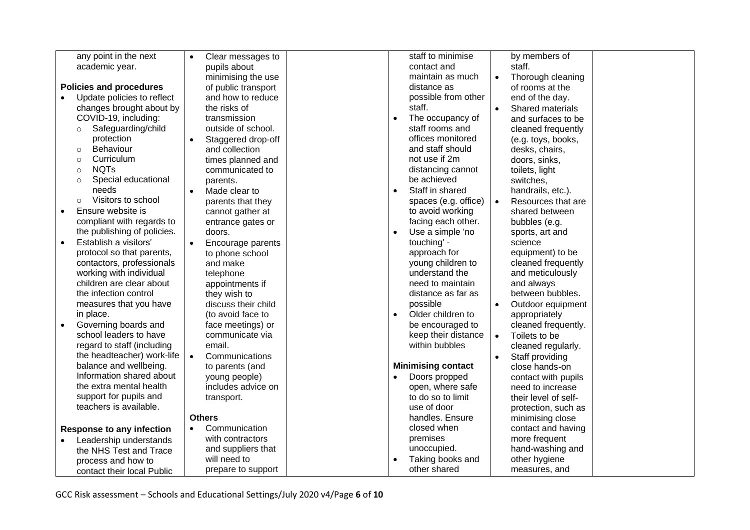| any point in the next              | Clear messages to<br>$\bullet$ | staff to minimise<br>by members of                  |
|------------------------------------|--------------------------------|-----------------------------------------------------|
| academic year.                     | pupils about                   | contact and<br>staff.                               |
|                                    | minimising the use             | maintain as much<br>Thorough cleaning<br>$\bullet$  |
| <b>Policies and procedures</b>     | of public transport            | distance as<br>of rooms at the                      |
| Update policies to reflect         | and how to reduce              | possible from other<br>end of the day.              |
| changes brought about by           | the risks of                   | staff.<br>Shared materials<br>$\bullet$             |
| COVID-19, including:               | transmission                   | The occupancy of<br>and surfaces to be<br>$\bullet$ |
| Safeguarding/child<br>$\circ$      | outside of school.             | staff rooms and<br>cleaned frequently               |
| protection                         | Staggered drop-off             | offices monitored<br>(e.g. toys, books,             |
| Behaviour<br>$\circ$               | and collection                 | and staff should<br>desks, chairs,                  |
| Curriculum<br>$\circ$              | times planned and              | not use if 2m<br>doors, sinks,                      |
| <b>NQTs</b><br>$\circ$             | communicated to                | distancing cannot<br>toilets, light                 |
| Special educational<br>$\circ$     | parents.                       | be achieved<br>switches,                            |
| needs                              | Made clear to                  | Staff in shared<br>handrails, etc.).<br>$\bullet$   |
| Visitors to school<br>$\circ$      | parents that they              | spaces (e.g. office)<br>Resources that are          |
| Ensure website is<br>$\bullet$     | cannot gather at               | to avoid working<br>shared between                  |
| compliant with regards to          | entrance gates or              | facing each other.<br>bubbles (e.g.                 |
| the publishing of policies.        | doors.                         | Use a simple 'no<br>sports, art and<br>$\bullet$    |
| Establish a visitors'<br>$\bullet$ | Encourage parents              | touching' -<br>science                              |
| protocol so that parents,          | to phone school                | approach for<br>equipment) to be                    |
| contactors, professionals          | and make                       | cleaned frequently<br>young children to             |
| working with individual            | telephone                      | understand the<br>and meticulously                  |
| children are clear about           | appointments if                | need to maintain<br>and always                      |
| the infection control              | they wish to                   | between bubbles.<br>distance as far as              |
| measures that you have             | discuss their child            | possible<br>Outdoor equipment                       |
| in place.                          | (to avoid face to              | Older children to<br>$\bullet$<br>appropriately     |
| Governing boards and               | face meetings) or              | be encouraged to<br>cleaned frequently.             |
| school leaders to have             | communicate via                | keep their distance<br>Toilets to be<br>$\bullet$   |
| regard to staff (including         | email.                         | within bubbles<br>cleaned regularly.                |
| the headteacher) work-life         | Communications<br>$\bullet$    | Staff providing                                     |
| balance and wellbeing.             | to parents (and                | <b>Minimising contact</b><br>close hands-on         |
| Information shared about           | young people)                  | Doors propped<br>$\bullet$<br>contact with pupils   |
| the extra mental health            | includes advice on             | open, where safe<br>need to increase                |
| support for pupils and             | transport.                     | to do so to limit<br>their level of self-           |
| teachers is available.             |                                | use of door<br>protection, such as                  |
|                                    | <b>Others</b>                  | handles. Ensure<br>minimising close                 |
| <b>Response to any infection</b>   | Communication<br>$\bullet$     | closed when<br>contact and having                   |
| Leadership understands             | with contractors               | premises<br>more frequent                           |
| the NHS Test and Trace             | and suppliers that             | unoccupied.<br>hand-washing and                     |
| process and how to                 | will need to                   | Taking books and<br>other hygiene                   |
| contact their local Public         | prepare to support             | other shared<br>measures, and                       |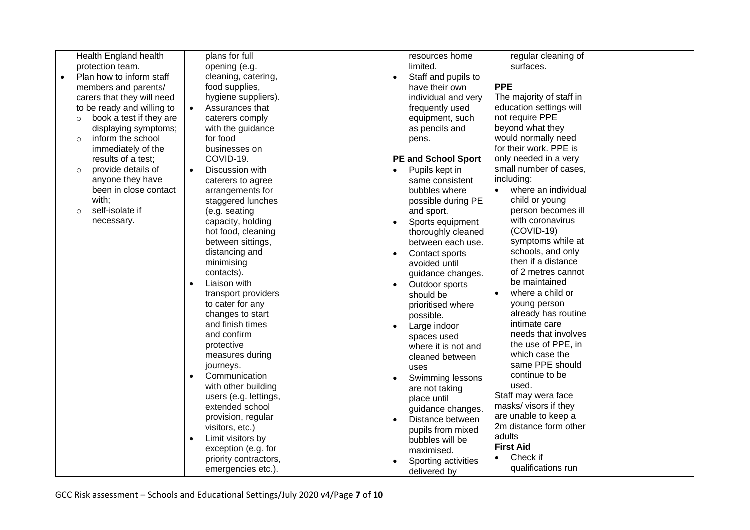| Health England health                 | plans for full                 | resources home                | regular cleaning of              |
|---------------------------------------|--------------------------------|-------------------------------|----------------------------------|
| protection team.                      | opening (e.g.                  | limited.                      | surfaces.                        |
| Plan how to inform staff<br>$\bullet$ | cleaning, catering,            | Staff and pupils to           |                                  |
|                                       | food supplies,                 | have their own                | <b>PPE</b>                       |
| members and parents/                  | hygiene suppliers).            |                               | The majority of staff in         |
| carers that they will need            |                                | individual and very           | education settings will          |
| to be ready and willing to            | Assurances that                | frequently used               |                                  |
| book a test if they are<br>$\circ$    | caterers comply                | equipment, such               | not require PPE                  |
| displaying symptoms;                  | with the guidance              | as pencils and                | beyond what they                 |
| inform the school<br>$\circ$          | for food                       | pens.                         | would normally need              |
| immediately of the                    | businesses on                  |                               | for their work. PPE is           |
| results of a test;                    | COVID-19.                      | <b>PE and School Sport</b>    | only needed in a very            |
| provide details of<br>$\circ$         | Discussion with                | Pupils kept in<br>$\bullet$   | small number of cases,           |
| anyone they have                      | caterers to agree              | same consistent               | including:                       |
| been in close contact                 | arrangements for               | bubbles where                 | where an individual<br>$\bullet$ |
| with;                                 | staggered lunches              | possible during PE            | child or young                   |
| self-isolate if<br>$\circ$            | (e.g. seating                  | and sport.                    | person becomes ill               |
| necessary.                            | capacity, holding              | Sports equipment<br>$\bullet$ | with coronavirus                 |
|                                       | hot food, cleaning             | thoroughly cleaned            | $(COVID-19)$                     |
|                                       | between sittings,              | between each use.             | symptoms while at                |
|                                       | distancing and                 | Contact sports                | schools, and only                |
|                                       | minimising                     | avoided until                 | then if a distance               |
|                                       | contacts).                     | guidance changes.             | of 2 metres cannot               |
|                                       | Liaison with                   | Outdoor sports<br>$\bullet$   | be maintained                    |
|                                       | transport providers            | should be                     | where a child or                 |
|                                       | to cater for any               | prioritised where             | young person                     |
|                                       | changes to start               | possible.                     | already has routine              |
|                                       | and finish times               |                               | intimate care                    |
|                                       | and confirm                    | Large indoor<br>$\bullet$     | needs that involves              |
|                                       | protective                     | spaces used                   | the use of PPE, in               |
|                                       | measures during                | where it is not and           | which case the                   |
|                                       | journeys.                      | cleaned between               | same PPE should                  |
|                                       | Communication<br>$\bullet$     | uses                          | continue to be                   |
|                                       |                                | Swimming lessons              | used.                            |
|                                       | with other building            | are not taking                | Staff may wera face              |
|                                       | users (e.g. lettings,          | place until                   | masks/ visors if they            |
|                                       | extended school                | guidance changes.             |                                  |
|                                       | provision, regular             | Distance between              | are unable to keep a             |
|                                       | visitors, etc.)                | pupils from mixed             | 2m distance form other           |
|                                       | Limit visitors by<br>$\bullet$ | bubbles will be               | adults                           |
|                                       | exception (e.g. for            | maximised.                    | <b>First Aid</b>                 |
|                                       | priority contractors,          | Sporting activities           | Check if<br>$\bullet$            |
|                                       | emergencies etc.).             | delivered by                  | qualifications run               |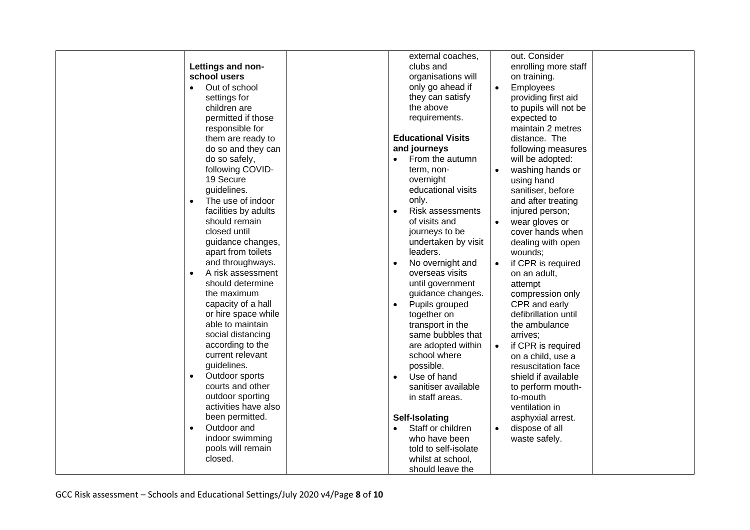|                                | external coaches,             | out. Consider                   |
|--------------------------------|-------------------------------|---------------------------------|
| Lettings and non-              | clubs and                     | enrolling more staff            |
| school users                   | organisations will            | on training.                    |
| Out of school<br>$\bullet$     | only go ahead if              | Employees<br>$\bullet$          |
| settings for                   | they can satisfy              | providing first aid             |
| children are                   | the above                     | to pupils will not be           |
| permitted if those             | requirements.                 | expected to                     |
| responsible for                |                               | maintain 2 metres               |
| them are ready to              | <b>Educational Visits</b>     | distance. The                   |
| do so and they can             | and journeys                  | following measures              |
| do so safely,                  | From the autumn               | will be adopted:                |
| following COVID-               | term, non-                    | washing hands or<br>$\bullet$   |
| 19 Secure                      | overnight                     | using hand                      |
| guidelines.                    | educational visits            |                                 |
| The use of indoor<br>$\bullet$ | only.                         | sanitiser, before               |
|                                |                               | and after treating              |
| facilities by adults           | <b>Risk assessments</b>       | injured person;                 |
| should remain                  | of visits and                 | wear gloves or<br>$\bullet$     |
| closed until                   | journeys to be                | cover hands when                |
| guidance changes,              | undertaken by visit           | dealing with open               |
| apart from toilets             | leaders.                      | wounds;                         |
| and throughways.               | No overnight and<br>$\bullet$ | if CPR is required<br>$\bullet$ |
| A risk assessment<br>$\bullet$ | overseas visits               | on an adult,                    |
| should determine               | until government              | attempt                         |
| the maximum                    | guidance changes.             | compression only                |
| capacity of a hall             | Pupils grouped                | CPR and early                   |
| or hire space while            | together on                   | defibrillation until            |
| able to maintain               | transport in the              | the ambulance                   |
| social distancing              | same bubbles that             | arrives;                        |
| according to the               | are adopted within            | if CPR is required<br>$\bullet$ |
| current relevant               | school where                  | on a child, use a               |
| guidelines.                    | possible.                     | resuscitation face              |
| Outdoor sports<br>$\bullet$    | Use of hand                   | shield if available             |
| courts and other               | sanitiser available           | to perform mouth-               |
| outdoor sporting               | in staff areas.               | to-mouth                        |
| activities have also           |                               | ventilation in                  |
| been permitted.                | Self-Isolating                | asphyxial arrest.               |
| Outdoor and<br>$\bullet$       | Staff or children             | dispose of all                  |
| indoor swimming                | who have been                 | waste safely.                   |
| pools will remain              | told to self-isolate          |                                 |
| closed.                        | whilst at school,             |                                 |
|                                | should leave the              |                                 |
|                                |                               |                                 |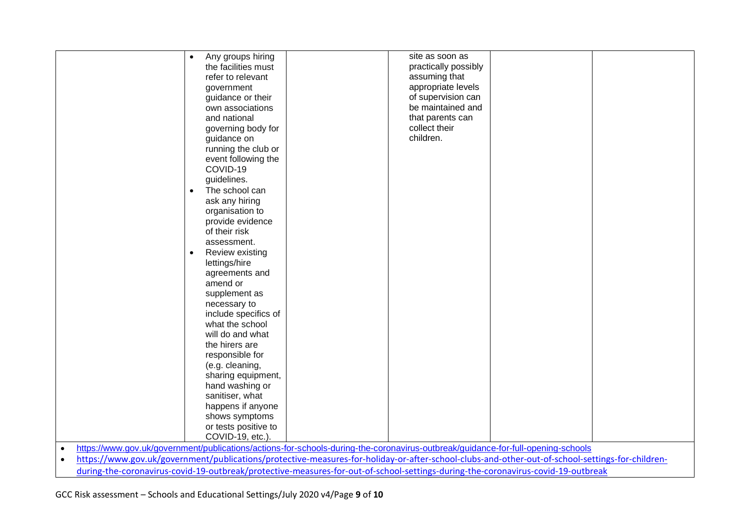|                                                                                                                                  | Any groups hiring                                                                                                                | site as soon as                                                                                                                                 |  |  |  |  |  |
|----------------------------------------------------------------------------------------------------------------------------------|----------------------------------------------------------------------------------------------------------------------------------|-------------------------------------------------------------------------------------------------------------------------------------------------|--|--|--|--|--|
|                                                                                                                                  | the facilities must                                                                                                              | practically possibly                                                                                                                            |  |  |  |  |  |
|                                                                                                                                  | refer to relevant                                                                                                                | assuming that                                                                                                                                   |  |  |  |  |  |
|                                                                                                                                  | government                                                                                                                       | appropriate levels                                                                                                                              |  |  |  |  |  |
|                                                                                                                                  | guidance or their                                                                                                                | of supervision can                                                                                                                              |  |  |  |  |  |
|                                                                                                                                  | own associations                                                                                                                 | be maintained and                                                                                                                               |  |  |  |  |  |
|                                                                                                                                  | and national                                                                                                                     | that parents can                                                                                                                                |  |  |  |  |  |
|                                                                                                                                  | governing body for                                                                                                               | collect their                                                                                                                                   |  |  |  |  |  |
|                                                                                                                                  | guidance on                                                                                                                      | children.                                                                                                                                       |  |  |  |  |  |
|                                                                                                                                  | running the club or                                                                                                              |                                                                                                                                                 |  |  |  |  |  |
|                                                                                                                                  | event following the                                                                                                              |                                                                                                                                                 |  |  |  |  |  |
|                                                                                                                                  | COVID-19                                                                                                                         |                                                                                                                                                 |  |  |  |  |  |
|                                                                                                                                  | guidelines.                                                                                                                      |                                                                                                                                                 |  |  |  |  |  |
|                                                                                                                                  | The school can                                                                                                                   |                                                                                                                                                 |  |  |  |  |  |
|                                                                                                                                  | ask any hiring                                                                                                                   |                                                                                                                                                 |  |  |  |  |  |
|                                                                                                                                  | organisation to                                                                                                                  |                                                                                                                                                 |  |  |  |  |  |
|                                                                                                                                  | provide evidence                                                                                                                 |                                                                                                                                                 |  |  |  |  |  |
|                                                                                                                                  | of their risk                                                                                                                    |                                                                                                                                                 |  |  |  |  |  |
|                                                                                                                                  | assessment.                                                                                                                      |                                                                                                                                                 |  |  |  |  |  |
|                                                                                                                                  | Review existing                                                                                                                  |                                                                                                                                                 |  |  |  |  |  |
|                                                                                                                                  | lettings/hire                                                                                                                    |                                                                                                                                                 |  |  |  |  |  |
|                                                                                                                                  | agreements and                                                                                                                   |                                                                                                                                                 |  |  |  |  |  |
|                                                                                                                                  | amend or                                                                                                                         |                                                                                                                                                 |  |  |  |  |  |
|                                                                                                                                  | supplement as                                                                                                                    |                                                                                                                                                 |  |  |  |  |  |
|                                                                                                                                  | necessary to                                                                                                                     |                                                                                                                                                 |  |  |  |  |  |
|                                                                                                                                  | include specifics of                                                                                                             |                                                                                                                                                 |  |  |  |  |  |
|                                                                                                                                  | what the school                                                                                                                  |                                                                                                                                                 |  |  |  |  |  |
|                                                                                                                                  | will do and what                                                                                                                 |                                                                                                                                                 |  |  |  |  |  |
|                                                                                                                                  | the hirers are                                                                                                                   |                                                                                                                                                 |  |  |  |  |  |
|                                                                                                                                  | responsible for                                                                                                                  |                                                                                                                                                 |  |  |  |  |  |
|                                                                                                                                  | (e.g. cleaning,                                                                                                                  |                                                                                                                                                 |  |  |  |  |  |
|                                                                                                                                  | sharing equipment,                                                                                                               |                                                                                                                                                 |  |  |  |  |  |
|                                                                                                                                  | hand washing or                                                                                                                  |                                                                                                                                                 |  |  |  |  |  |
|                                                                                                                                  | sanitiser, what                                                                                                                  |                                                                                                                                                 |  |  |  |  |  |
|                                                                                                                                  | happens if anyone                                                                                                                |                                                                                                                                                 |  |  |  |  |  |
|                                                                                                                                  | shows symptoms                                                                                                                   |                                                                                                                                                 |  |  |  |  |  |
|                                                                                                                                  | or tests positive to                                                                                                             |                                                                                                                                                 |  |  |  |  |  |
|                                                                                                                                  | COVID-19, etc.).                                                                                                                 |                                                                                                                                                 |  |  |  |  |  |
| $\bullet$                                                                                                                        | https://www.gov.uk/government/publications/actions-for-schools-during-the-coronavirus-outbreak/guidance-for-full-opening-schools |                                                                                                                                                 |  |  |  |  |  |
| $\bullet$                                                                                                                        |                                                                                                                                  | https://www.gov.uk/government/publications/protective-measures-for-holiday-or-after-school-clubs-and-other-out-of-school-settings-for-children- |  |  |  |  |  |
| during-the-coronavirus-covid-19-outbreak/protective-measures-for-out-of-school-settings-during-the-coronavirus-covid-19-outbreak |                                                                                                                                  |                                                                                                                                                 |  |  |  |  |  |

GCC Risk assessment – Schools and Educational Settings/July 2020 v4/Page **9** of **10**